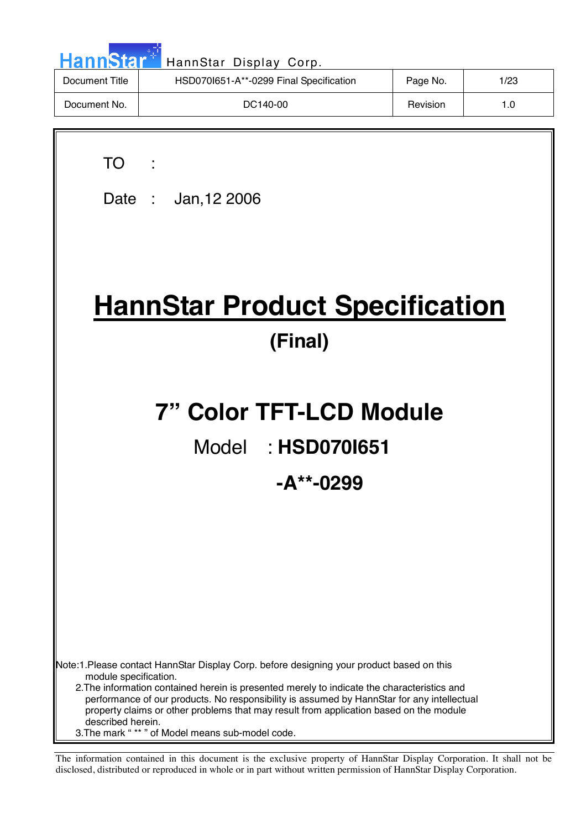| HannStar <sup>*</sup> | HannStar Display Corp.                  |          |      |
|-----------------------|-----------------------------------------|----------|------|
| Document Title        | HSD070I651-A**-0299 Final Specification | Page No. | 1/23 |
| Document No.          | DC140-00                                | Revision | 1.0  |
|                       |                                         |          |      |

| ×<br>۰. |  |
|---------|--|
|         |  |

Date : Jan,12 2006

# **HannStar Product Specification (Final)**

# **7" Color TFT-LCD Module**

## Model : **HSD070I651**

### **-A\*\*-0299**

Note:1.Please contact HannStar Display Corp. before designing your product based on this module specification.

 2.The information contained herein is presented merely to indicate the characteristics and performance of our products. No responsibility is assumed by HannStar for any intellectual property claims or other problems that may result from application based on the module described herein.

3.The mark " \*\* " of Model means sub-model code.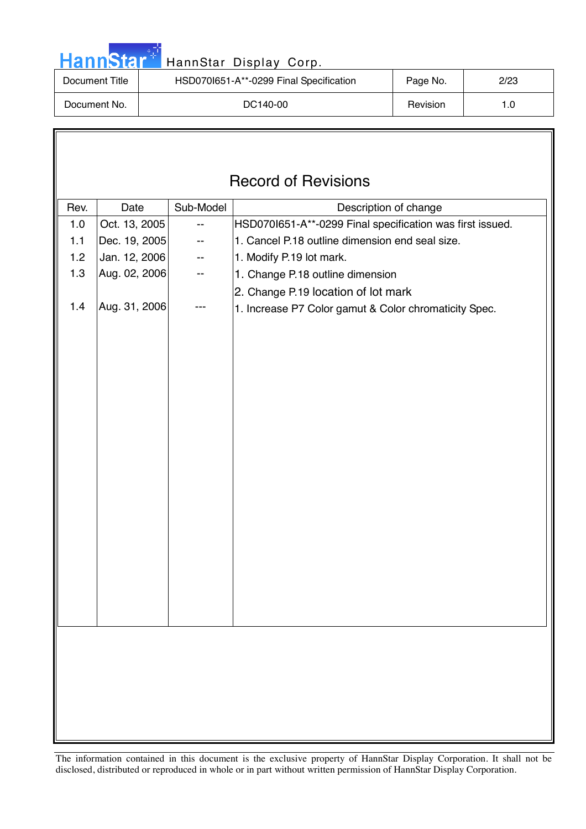| <b>HannStar</b> * | HannStar Display Corp.                  |                 |      |
|-------------------|-----------------------------------------|-----------------|------|
| Document Title    | HSD070I651-A**-0299 Final Specification | Page No.        | 2/23 |
| Document No.      | DC140-00                                | <b>Revision</b> | 1.0  |
|                   |                                         |                 |      |

m.

 $\sqrt{ }$ 

|      | <b>Record of Revisions</b> |           |                                                           |  |
|------|----------------------------|-----------|-----------------------------------------------------------|--|
| Rev. | Date                       | Sub-Model | Description of change                                     |  |
| 1.0  | Oct. 13, 2005              | --        | HSD070I651-A**-0299 Final specification was first issued. |  |
| 1.1  | Dec. 19, 2005              |           | 1. Cancel P.18 outline dimension end seal size.           |  |
| 1.2  | Jan. 12, 2006              | --        | 1. Modify P.19 lot mark.                                  |  |
| 1.3  | Aug. 02, 2006              | --        | 1. Change P.18 outline dimension                          |  |
|      |                            |           | 2. Change P.19 location of lot mark                       |  |
| 1.4  | Aug. 31, 2006              |           | 1. Increase P7 Color gamut & Color chromaticity Spec.     |  |
|      |                            |           |                                                           |  |
|      |                            |           |                                                           |  |
|      |                            |           |                                                           |  |
|      |                            |           |                                                           |  |
|      |                            |           |                                                           |  |
|      |                            |           |                                                           |  |
|      |                            |           |                                                           |  |
|      |                            |           |                                                           |  |
|      |                            |           |                                                           |  |
|      |                            |           |                                                           |  |
|      |                            |           |                                                           |  |
|      |                            |           |                                                           |  |
|      |                            |           |                                                           |  |
|      |                            |           |                                                           |  |
|      |                            |           |                                                           |  |
|      |                            |           |                                                           |  |
|      |                            |           |                                                           |  |
|      |                            |           |                                                           |  |
|      |                            |           |                                                           |  |
|      |                            |           |                                                           |  |
|      |                            |           |                                                           |  |
|      |                            |           |                                                           |  |
|      |                            |           |                                                           |  |
|      |                            |           |                                                           |  |
|      |                            |           |                                                           |  |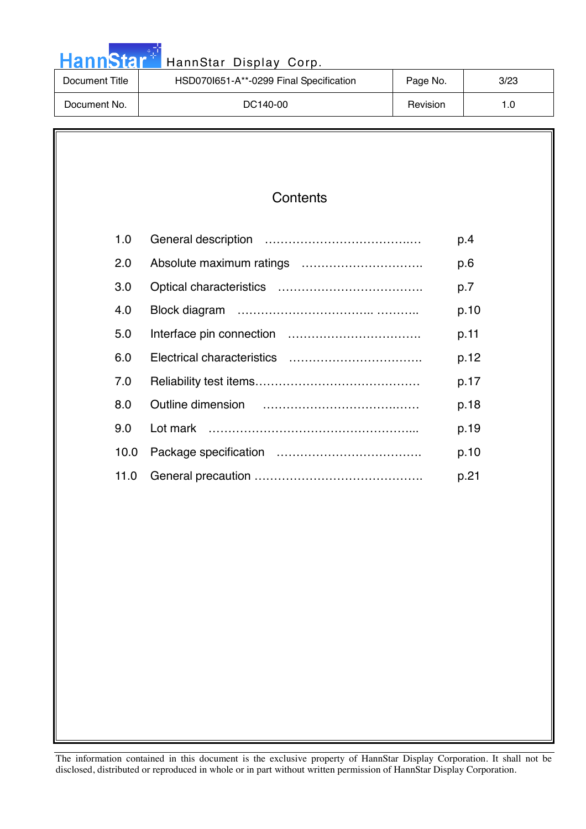| HannStar <sup>*</sup><br>HannStar Display Corp. |                                         |          |      |
|-------------------------------------------------|-----------------------------------------|----------|------|
| Document Title                                  | HSD070I651-A**-0299 Final Specification | Page No. | 3/23 |
| Document No.                                    | DC140-00                                | Revision | 1.0  |

والمرادي

### **Contents**

| 1.0  | p.4  |
|------|------|
| 2.0  | p.6  |
| 3.0  | p.7  |
| 4.0  | p.10 |
| 5.0  | p.11 |
| 6.0  | p.12 |
| 7.0  | p.17 |
| 8.0  | p.18 |
| 9.0  | p.19 |
| 10.0 | p.10 |
| 11.0 | p.21 |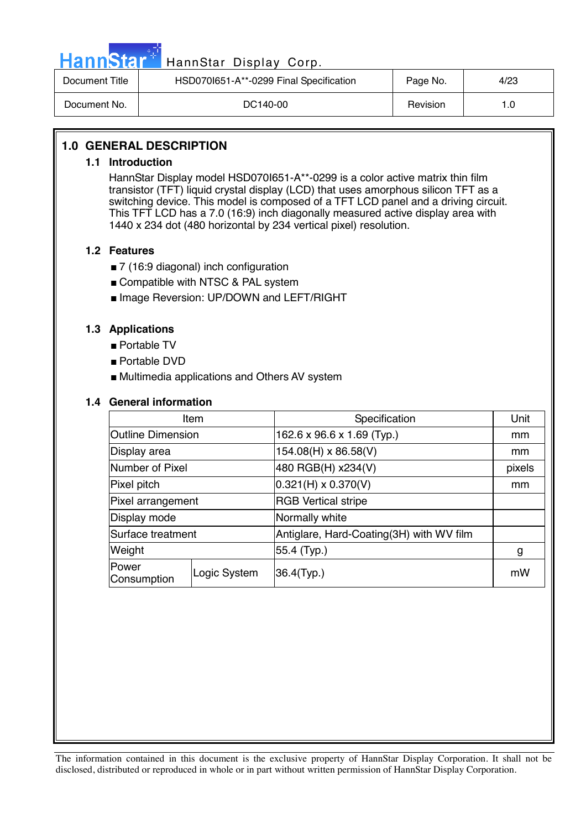|--|

### HannStar Display Corp.

| Document Title | HSD0701651-A**-0299 Final Specification | Page No. | 4/23 |
|----------------|-----------------------------------------|----------|------|
| Document No.   | DC140-00                                | Revision | . .0 |

### **1.0 GENERAL DESCRIPTION**

### **1.1 Introduction**

HannStar Display model HSD070I651-A\*\*-0299 is a color active matrix thin film transistor (TFT) liquid crystal display (LCD) that uses amorphous silicon TFT as a switching device. This model is composed of a TFT LCD panel and a driving circuit. This TFT LCD has a 7.0 (16:9) inch diagonally measured active display area with 1440 x 234 dot (480 horizontal by 234 vertical pixel) resolution.

### **1.2 Features**

- 7 (16:9 diagonal) inch configuration
- Compatible with NTSC & PAL system
- Image Reversion: UP/DOWN and LEFT/RIGHT

### **1.3 Applications**

- Portable TV
- Portable DVD
- Multimedia applications and Others AV system

### **1.4 General information**

| Item                     |              | Specification                            | Unit   |
|--------------------------|--------------|------------------------------------------|--------|
| <b>Outline Dimension</b> |              | 162.6 x 96.6 x 1.69 (Typ.)               | mm     |
| Display area             |              | 154.08(H) x 86.58(V)                     | mm     |
| Number of Pixel          |              | 480 RGB(H) x234(V)                       | pixels |
| Pixel pitch              |              | $0.321(H) \times 0.370(V)$               | mm     |
| Pixel arrangement        |              | <b>RGB Vertical stripe</b>               |        |
| Display mode             |              | Normally white                           |        |
| Surface treatment        |              | Antiglare, Hard-Coating(3H) with WV film |        |
| Weight                   |              | 55.4 (Typ.)                              | g      |
| Power<br>Consumption     | Logic System | 36.4(Typ.)                               | mW     |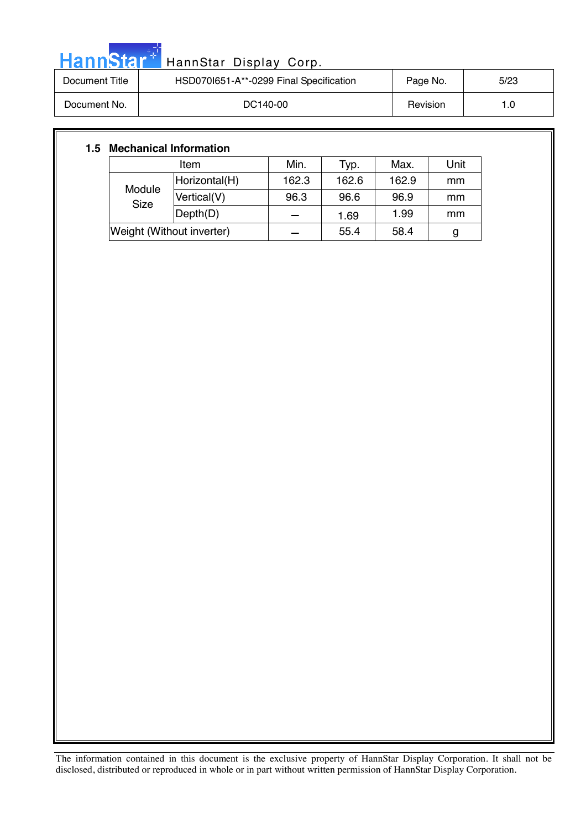| <b>HannStar</b> * | HannStar Display Corp.                  |          |      |
|-------------------|-----------------------------------------|----------|------|
| Document Title    | HSD0701651-A**-0299 Final Specification | Page No. | 5/23 |
| Document No.      | DC140-00                                | Revision | 1.0  |

### **1.5 Mechanical Information**

والمرادي

| Item                      |               | Min.  | Typ.  | Max.  | Unit |
|---------------------------|---------------|-------|-------|-------|------|
| Module<br><b>Size</b>     | Horizontal(H) | 162.3 | 162.6 | 162.9 | mm   |
|                           | Vertical(V)   | 96.3  | 96.6  | 96.9  | mm   |
|                           | Depth(D)      |       | 1.69  | 1.99  | mm   |
| Weight (Without inverter) |               |       | 55.4  | 58.4  |      |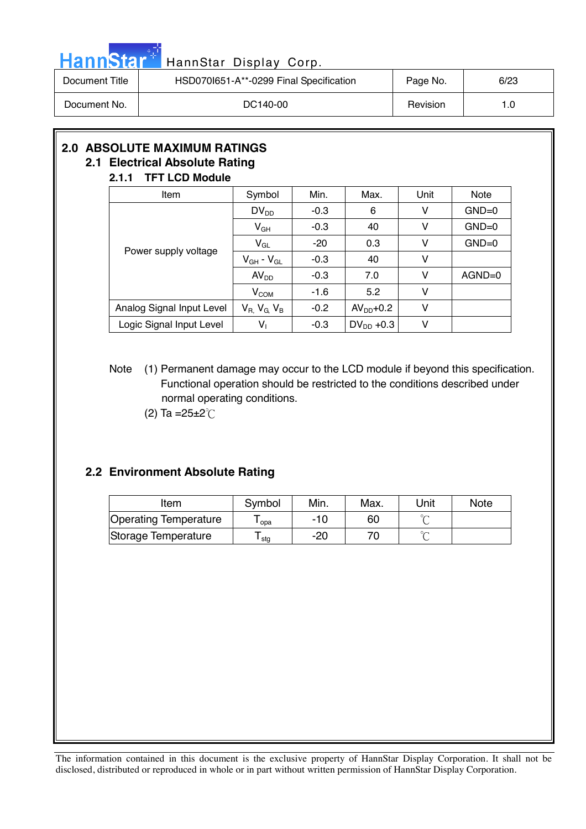| HannStar <sup>*</sup> | HannStar Display Corp.                  |                 |      |
|-----------------------|-----------------------------------------|-----------------|------|
| Document Title        | HSD0701651-A**-0299 Final Specification | Page No.        | 6/23 |
| Document No.          | DC140-00                                | <b>Revision</b> | 1.0  |

### **2.0 ABSOLUTE MAXIMUM RATINGS 2.1 Electrical Absolute Rating**

سام ر

### **2.1.1 TFT LCD Module**

| Item                      | Symbol                      | Min.   | Max.           | Unit | Note     |
|---------------------------|-----------------------------|--------|----------------|------|----------|
|                           | $DV_{DD}$                   | $-0.3$ | 6              | v    | $GND=0$  |
|                           | $V_{GH}$                    | $-0.3$ | 40             | v    | $GND=0$  |
| Power supply voltage      | $V_{GL}$                    | $-20$  | 0.3            | v    | $GND=0$  |
|                           | $V_{GH}$ - $V_{GL}$         | $-0.3$ | 40             | ۷    |          |
|                           | AV <sub>DD</sub>            | $-0.3$ | 7.0            | v    | $AGND=0$ |
|                           | V <sub>COM</sub>            | $-1.6$ | 5.2            | v    |          |
| Analog Signal Input Level | $V_{R}$ , $V_{G}$ , $V_{B}$ | $-0.2$ | $AVDD+0.2$     | v    |          |
| Logic Signal Input Level  | $V_1$                       | $-0.3$ | $DV_{DD}$ +0.3 | v    |          |

### Note (1) Permanent damage may occur to the LCD module if beyond this specification. Functional operation should be restricted to the conditions described under normal operating conditions.

(2) Ta = $25 \pm 2^{\circ}$ C

### **2.2 Environment Absolute Rating**

| Item                         | Symbol | Min.  | Max. | 'Jnit  | <b>Note</b> |
|------------------------------|--------|-------|------|--------|-------------|
| <b>Operating Temperature</b> | opa    | $-10$ | 60   | $\sim$ |             |
| Storage Temperature          | stg    | $-20$ |      | $\sim$ |             |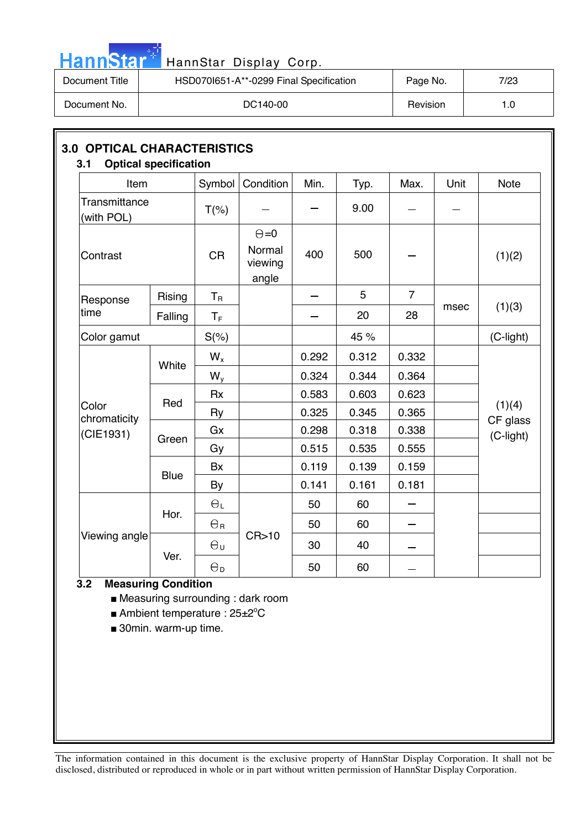| HannStar <sup>*l</sup> | HannStar Display Corp.                  |          |      |
|------------------------|-----------------------------------------|----------|------|
| Document Title         | HSD070I651-A**-0299 Final Specification | Page No. | 7/23 |
| Document No.           | DC140-00                                | Revision | 1.0  |

| <b>3.0 OPTICAL CHARACTERISTICS</b><br><b>Optical specification</b><br>3.1 |             |                  |                                            |       |       |                |      |                    |  |  |
|---------------------------------------------------------------------------|-------------|------------------|--------------------------------------------|-------|-------|----------------|------|--------------------|--|--|
| Item                                                                      |             | Symbol           | Condition                                  | Min.  | Typ.  | Max.           | Unit | <b>Note</b>        |  |  |
| Transmittance<br>(with POL)                                               |             | $T(\%)$          |                                            |       | 9.00  |                |      |                    |  |  |
| Contrast                                                                  |             |                  | $\Theta = 0$<br>Normal<br>viewing<br>angle | 400   | 500   |                |      | (1)(2)             |  |  |
| Response                                                                  | Rising      | $T_R$            |                                            |       | 5     | $\overline{7}$ |      |                    |  |  |
| time                                                                      | Falling     | $T_F$            |                                            |       | 20    | 28             | msec | (1)(3)             |  |  |
| Color gamut                                                               |             | $S(\%)$          |                                            |       | 45 %  |                |      | (C-light)          |  |  |
|                                                                           | White       | $W_{x}$          |                                            | 0.292 | 0.312 | 0.332          |      |                    |  |  |
|                                                                           |             | $W_{y}$          |                                            | 0.324 | 0.344 | 0.364          |      |                    |  |  |
|                                                                           | Red         | <b>Rx</b>        |                                            | 0.583 | 0.603 | 0.623          |      |                    |  |  |
| Color<br>chromaticity                                                     |             | Ry               |                                            | 0.325 | 0.345 | 0.365          |      | (1)(4)<br>CF glass |  |  |
| (CIE1931)                                                                 | Green       | Gx               |                                            | 0.298 | 0.318 | 0.338          |      | (C-light)          |  |  |
|                                                                           |             | Gy               |                                            | 0.515 | 0.535 | 0.555          |      |                    |  |  |
|                                                                           | <b>Blue</b> | <b>Bx</b>        |                                            | 0.119 | 0.139 | 0.159          |      |                    |  |  |
|                                                                           |             | By               |                                            | 0.141 | 0.161 | 0.181          |      |                    |  |  |
|                                                                           | Hor.        | $\Theta_L$       |                                            | 50    | 60    |                |      |                    |  |  |
|                                                                           |             | $\Theta_{\rm R}$ |                                            | 50    | 60    |                |      |                    |  |  |
| Viewing angle                                                             |             | $\Theta_{\sf U}$ | CR>10                                      | 30    | 40    |                |      |                    |  |  |
|                                                                           | Ver.        |                  |                                            | 50    | 60    |                |      |                    |  |  |

### **3.2 Measuring Condition**

a da

■ Measuring surrounding : dark room

■ Ambient temperature : 25±2°C

■ 30min. warm-up time.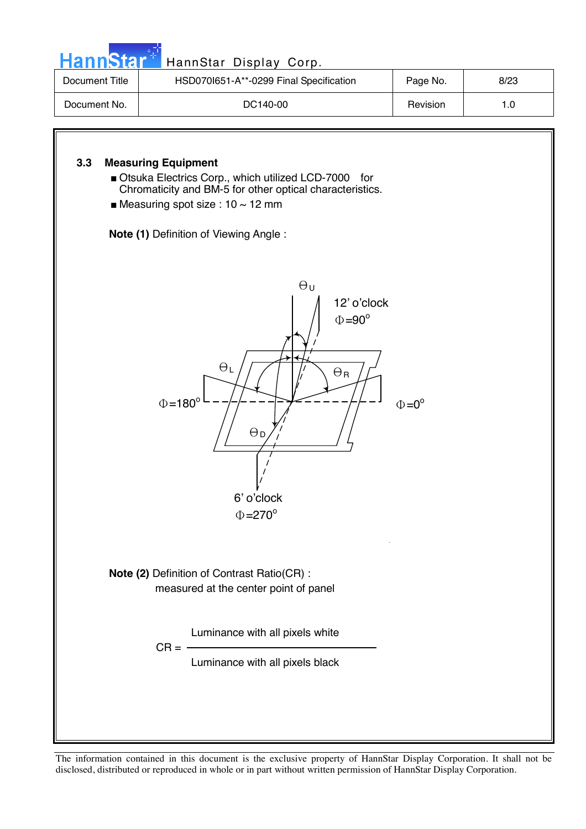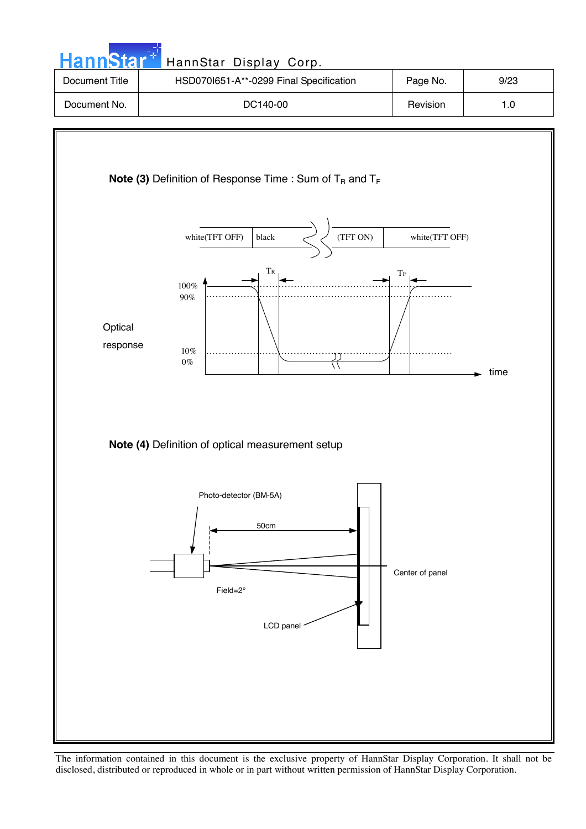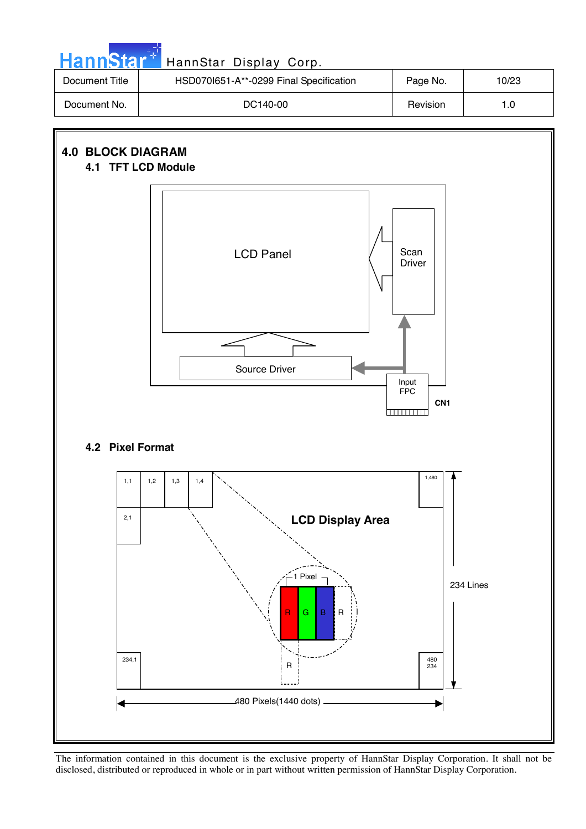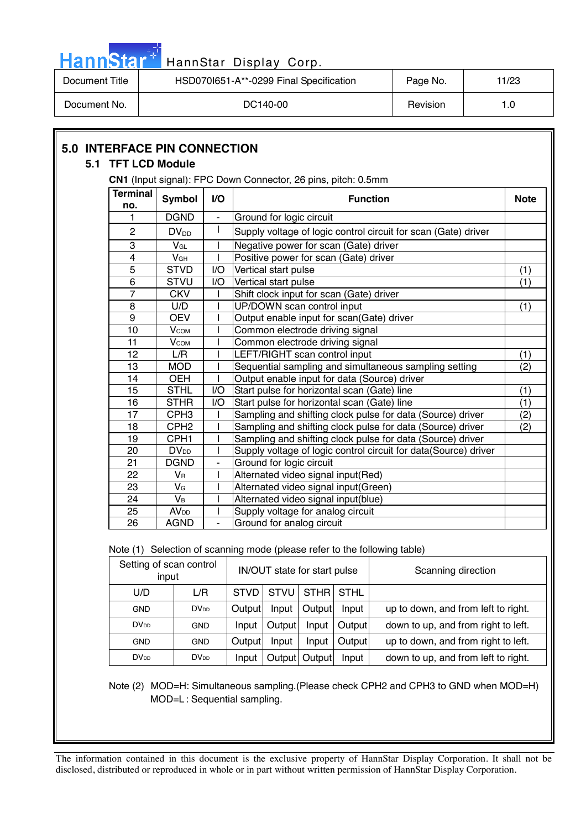| HannStar <sup>*</sup>                       |                        |               |     | HannStar Display Corp.                                               |          |             |  |  |
|---------------------------------------------|------------------------|---------------|-----|----------------------------------------------------------------------|----------|-------------|--|--|
| Document Title                              |                        |               |     | HSD070I651-A**-0299 Final Specification                              | Page No. | 11/23       |  |  |
| DC140-00<br>Document No.<br>Revision<br>1.0 |                        |               |     |                                                                      |          |             |  |  |
| <b>5.0 INTERFACE PIN CONNECTION</b>         | 5.1 TFT LCD Module     |               |     | <b>CN1</b> (Input signal): FPC Down Connector, 26 pins, pitch: 0.5mm |          |             |  |  |
|                                             | <b>Terminal</b><br>no. | <b>Symbol</b> | VO. | <b>Function</b>                                                      |          | <b>Note</b> |  |  |
|                                             |                        | <b>DGND</b>   | ٠   | Ground for logic circuit                                             |          |             |  |  |
|                                             | 2                      | $DV_{DD}$     |     | Supply voltage of logic control circuit for scan (Gate) driver       |          |             |  |  |

5 STVD | I/O Vertical start pulse (1) 6 | STVU | I/O | Vertical start pulse (1)

8 | U/D | I | UP/DOWN scan control input (1) (1)

12 | L/R | I | LEFT/RIGHT scan control input (1) 13 MOD | I Sequential sampling and simultaneous sampling setting | (2)

15 STHL II/O Start pulse for horizontal scan (Gate) line (1)

| 16 | <b>STHR</b>            | I/O | Start pulse for horizontal scan (Gate) line                     | (1) |
|----|------------------------|-----|-----------------------------------------------------------------|-----|
| 17 | CPH <sub>3</sub>       |     | Sampling and shifting clock pulse for data (Source) driver      | (2) |
| 18 | CPH <sub>2</sub>       |     | Sampling and shifting clock pulse for data (Source) driver      | (2) |
| 19 | CPH <sub>1</sub>       |     | Sampling and shifting clock pulse for data (Source) driver      |     |
| 20 | DV <sub>DD</sub>       |     | Supply voltage of logic control circuit for data(Source) driver |     |
| 21 | <b>DGND</b>            |     | Ground for logic circuit                                        |     |
| 22 | Vr                     |     | Alternated video signal input(Red)                              |     |
| 23 | VG                     |     | Alternated video signal input(Green)                            |     |
| 24 | Vв                     |     | Alternated video signal input(blue)                             |     |
| 25 | <b>AV<sub>DD</sub></b> |     | Supply voltage for analog circuit                               |     |
| 26 | AGND                   |     | Ground for analog circuit                                       |     |
|    |                        |     |                                                                 |     |

Note (1) Selection of scanning mode (please refer to the following table)

3 | V<sub>GL</sub> | I | Negative power for scan (Gate) driver 4 V<sup>GH</sup> I Positive power for scan (Gate) driver<br>5 STVD I/O Vertical start pulse

7 | CKV | I Shift clock input for scan (Gate) driver

10 V<sub>COM</sub> I Common electrode driving signal<br>11 V<sub>COM</sub> I Common electrode driving signal 11 | V<sub>COM</sub> | | Common electrode driving signal

9 | OEV | I | Output enable input for scan(Gate) driver

14 | OEH | | | Output enable input for data (Source) driver

| Setting of scan control<br>input |                  | IN/OUT state for start pulse             |        |        |        | Scanning direction                  |
|----------------------------------|------------------|------------------------------------------|--------|--------|--------|-------------------------------------|
| U/D                              | L/R              | STHRI STHL<br><b>STVU</b><br><b>STVD</b> |        |        |        |                                     |
| <b>GND</b>                       | DV <sub>DD</sub> | Output                                   | Input  | Output | Input  | up to down, and from left to right. |
| DV <sub>DD</sub>                 | <b>GND</b>       | Input                                    | Output | Input  | Output | down to up, and from right to left. |
| <b>GND</b>                       | GND              | Output                                   | Input  | Input  | Output | up to down, and from right to left. |
| DV <sub>DD</sub>                 | DV <sub>DD</sub> | Input                                    | Output | Output | Input  | down to up, and from left to right. |

Note (2) MOD=H: Simultaneous sampling.(Please check CPH2 and CPH3 to GND when MOD=H) MOD=L : Sequential sampling.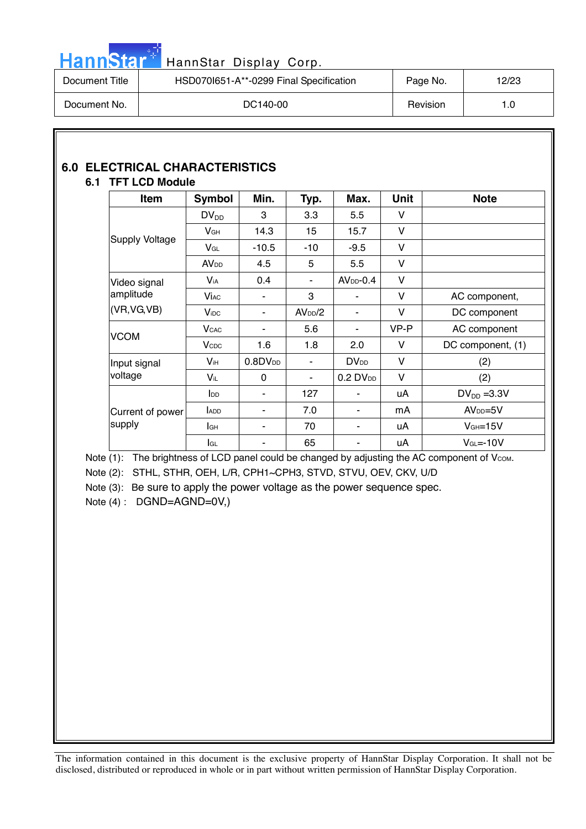

## Hann Star<sup>t HannStar</sup> Display Corp.

| Document Title | HSD070I651-A**-0299 Final Specification | Page No. | 12/23 |
|----------------|-----------------------------------------|----------|-------|
| Document No.   | DC140-00                                | Revision |       |

### **6.0 ELECTRICAL CHARACTERISTICS**

### **6.1 TFT LCD Module**

| Item                  | Symbol                  | Min.             | Typ.                | Max.                    | <b>Unit</b> | <b>Note</b>       |
|-----------------------|-------------------------|------------------|---------------------|-------------------------|-------------|-------------------|
|                       | $DV_{DD}$               | 3                | 3.3                 | 5.5                     | V           |                   |
|                       | $V_{GH}$                | 14.3             | 15                  | 15.7                    | V           |                   |
| <b>Supply Voltage</b> | $V_{GL}$                | $-10.5$          | $-10$               | $-9.5$                  | V           |                   |
|                       | <b>AV<sub>DD</sub></b>  | 4.5              | 5                   | 5.5                     | V           |                   |
| Video signal          | Via                     | 0.4              | ٠                   | $AVDD-0.4$              | $\vee$      |                   |
| amplitude             | <b>Vi</b> <sub>AC</sub> |                  | 3                   | ۰                       | V           | AC component,     |
| (VR, VG, VB)          | <b>V</b> <sub>iDC</sub> | ۰                | AV <sub>DD</sub> /2 | $\blacksquare$          | $\vee$      | DC component      |
|                       | <b>V</b> <sub>CAC</sub> | ٠                | 5.6                 | $\blacksquare$          | VP-P        | AC component      |
| <b>VCOM</b>           | <b>V</b> <sub>CDC</sub> | 1.6              | 1.8                 | 2.0                     | V           | DC component, (1) |
| Input signal          | $V_{iH}$                | $0.8$ D $V_{DD}$ | ۰                   | <b>DV</b> <sub>DD</sub> | V           | (2)               |
| voltage               | Vil                     | $\Omega$         | ۰                   | $0.2$ DV <sub>DD</sub>  | V           | (2)               |
|                       | $I_{DD}$                | ۰                | 127                 | ٠                       | uA          | $DV_{DD} = 3.3V$  |
| Current of power      | <b>ADD</b>              | ۰                | 7.0                 |                         | mA          | $AVDD=5V$         |
| supply                | lан                     | ٠                | 70                  | ٠                       | uA          | $VGH=15V$         |
|                       | lgL                     | ۰                | 65                  | ۰                       | uA          | $VGL=-10V$        |

Note (1): The brightness of LCD panel could be changed by adjusting the AC component of Vcom. Note (2): STHL, STHR, OEH, L/R, CPH1~CPH3, STVD, STVU, OEV, CKV, U/D

Note (3): Be sure to apply the power voltage as the power sequence spec.

Note (4) : DGND=AGND=0V,)

 $\overline{\phantom{a}}$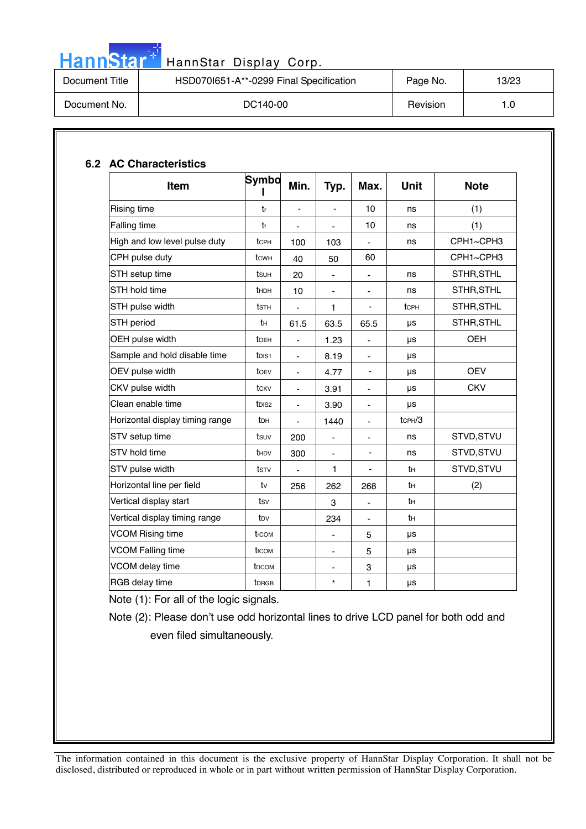|  |  | Hannistar |  |
|--|--|-----------|--|
|  |  |           |  |
|  |  |           |  |

### HannStar Display Corp.

| Document Title | HSD070I651-A**-0299 Final Specification | Page No. | 13/23 |
|----------------|-----------------------------------------|----------|-------|
| Document No.   | DC140-00                                | Revision |       |

| <b>Item</b>                     | Symbo              | Min.           | Typ.                     | Max.                         | <b>Unit</b>  | <b>Note</b> |
|---------------------------------|--------------------|----------------|--------------------------|------------------------------|--------------|-------------|
| Rising time                     | tr                 | L,             |                          | 10                           | ns           | (1)         |
| Falling time                    | tr                 |                |                          | 10                           | ns           | (1)         |
| High and low level pulse duty   | tcph               | 100            | 103                      | $\blacksquare$               | ns           | CPH1~CPH3   |
| CPH pulse duty                  | tсwн               | 40             | 50                       | 60                           |              | CPH1~CPH3   |
| STH setup time                  | tsuh               | 20             | $\blacksquare$           | $\overline{\phantom{a}}$     | ns           | STHR, STHL  |
| STH hold time                   | <b>t</b> HDH       | 10             | $\overline{\phantom{0}}$ | $\qquad \qquad \blacksquare$ | ns           | STHR, STHL  |
| STH pulse width                 | tsth               |                | 1                        |                              | tcph         | STHR, STHL  |
| STH period                      | tн                 | 61.5           | 63.5                     | 65.5                         | μs           | STHR, STHL  |
| OEH pulse width                 | toeh               | $\frac{1}{2}$  | 1.23                     | $\blacksquare$               | μs           | <b>OEH</b>  |
| Sample and hold disable time    | tois1              | $\blacksquare$ | 8.19                     | $\overline{\phantom{a}}$     | μs           |             |
| OEV pulse width                 | toev               | $\blacksquare$ | 4.77                     | $\overline{\phantom{a}}$     | μs           | <b>OEV</b>  |
| CKV pulse width                 | tckv               | $\blacksquare$ | 3.91                     | $\blacksquare$               | μs           | <b>CKV</b>  |
| Clean enable time               | t <sub>DIS2</sub>  | $\blacksquare$ | 3.90                     | $\blacksquare$               | μs           |             |
| Horizontal display timing range | tон                | $\blacksquare$ | 1440                     | $\blacksquare$               | $t$ CPH $/3$ |             |
| STV setup time                  | tsuv               | 200            | $\blacksquare$           | $\blacksquare$               | ns           | STVD, STVU  |
| STV hold time                   | th <sub>DV</sub>   | 300            | -                        |                              | ns           | STVD, STVU  |
| STV pulse width                 | tstv               | ä,             | $\mathbf{1}$             | $\frac{1}{2}$                | tн           | STVD, STVU  |
| Horizontal line per field       | tv                 | 256            | 262                      | 268                          | tн           | (2)         |
| Vertical display start          | tsv                |                | 3                        | $\blacksquare$               | tн           |             |
| Vertical display timing range   | t <sub>DV</sub>    |                | 234                      | $\blacksquare$               | tн           |             |
| <b>VCOM Rising time</b>         | trcom              |                | $\overline{\phantom{0}}$ | 5                            | μs           |             |
| <b>VCOM Falling time</b>        | t <sub>f</sub> com |                | $\overline{\phantom{0}}$ | 5                            | μs           |             |
| VCOM delay time                 | t <sub>DCOM</sub>  |                | $\overline{\phantom{0}}$ | 3                            | μs           |             |
| RGB delay time                  | <b>t</b> DRGB      |                | $\star$                  | 1                            | $\mu s$      |             |

Note (1): For all of the logic signals.

Note (2): Please don't use odd horizontal lines to drive LCD panel for both odd and

even filed simultaneously.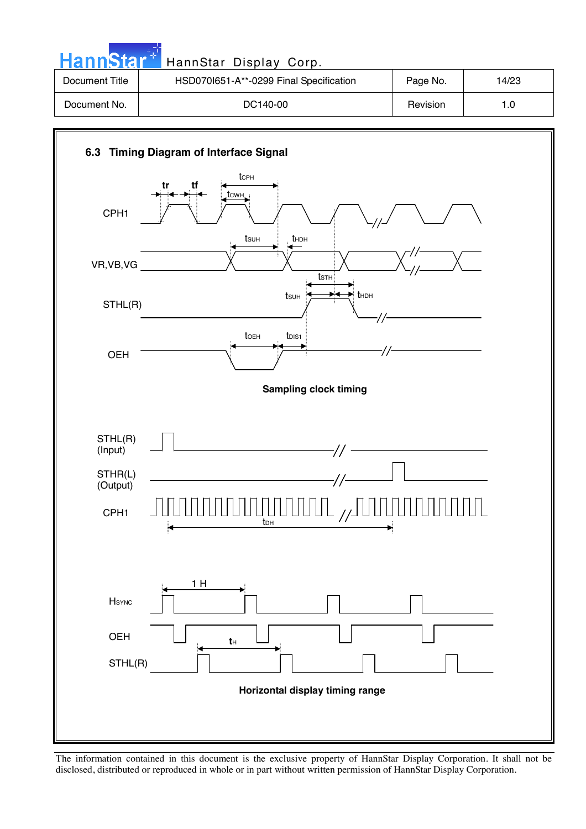| <b>HannStar</b> * | HannStar Display Corp.                  |          |       |
|-------------------|-----------------------------------------|----------|-------|
| Document Title    | HSD070I651-A**-0299 Final Specification | Page No. | 14/23 |
| Document No.      | DC140-00                                | Revision | 1.0   |

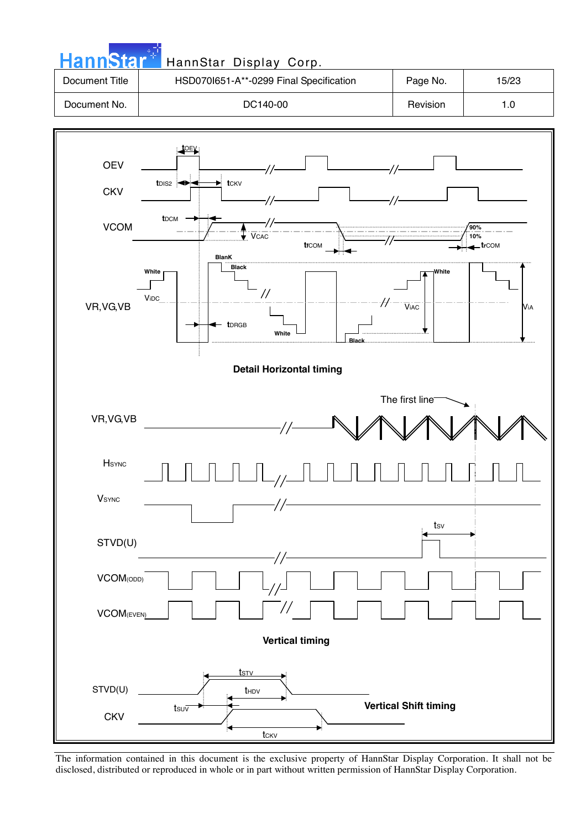

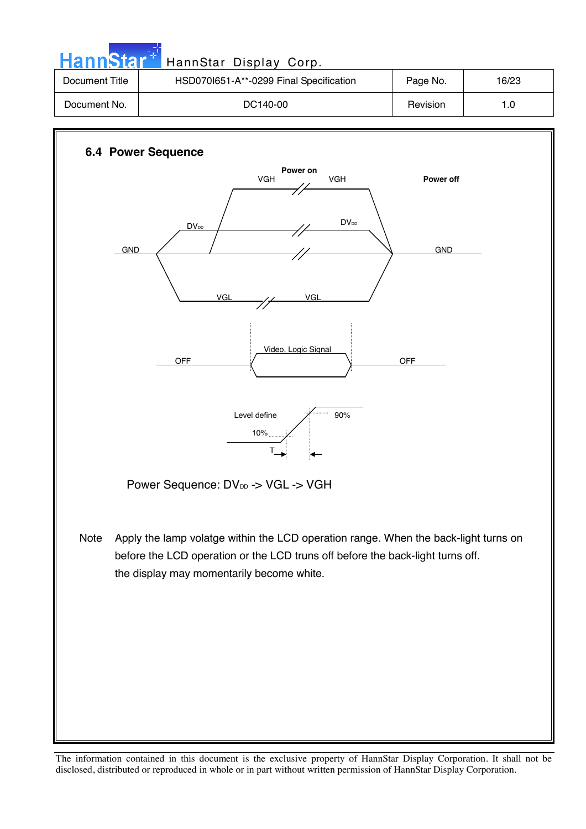| <b>HannStar</b> <sup>+1</sup> | HannStar Display Corp.                  |          |       |
|-------------------------------|-----------------------------------------|----------|-------|
| Document Title                | HSD070I651-A**-0299 Final Specification | Page No. | 16/23 |
| Document No.                  | DC140-00                                | Revision | 1.0   |
|                               |                                         |          |       |

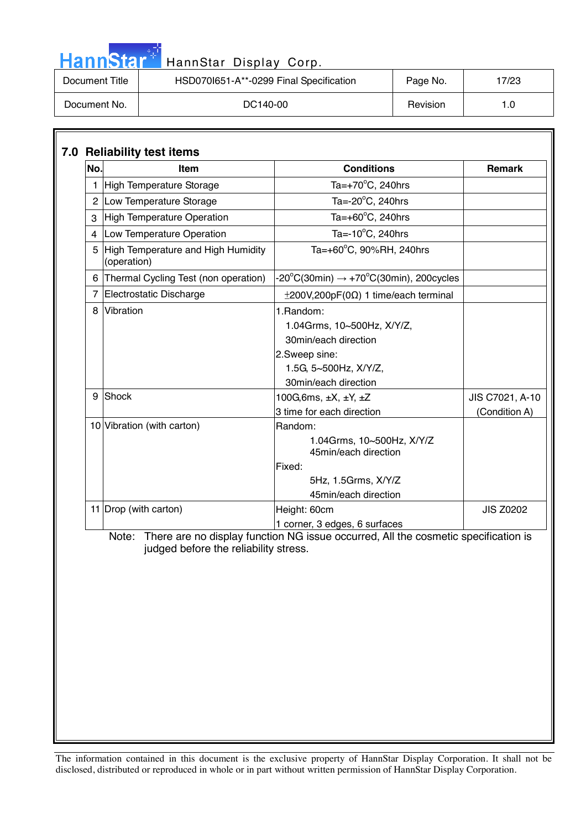| <b>HannStar</b> | HannStar Display Corp.                  |          |       |
|-----------------|-----------------------------------------|----------|-------|
| Document Title  | HSD070I651-A**-0299 Final Specification | Page No. | 17/23 |
| Document No.    | DC140-00                                | Revision | 1.0   |

والوارد

| No. | Item                                                | <b>Conditions</b>                                                                                                                  | Remark           |
|-----|-----------------------------------------------------|------------------------------------------------------------------------------------------------------------------------------------|------------------|
|     | 1 High Temperature Storage                          | Ta= $+70^{\circ}$ C, 240hrs                                                                                                        |                  |
|     | 2 Low Temperature Storage                           | Ta= $-20^{\circ}$ C, 240hrs                                                                                                        |                  |
|     | 3 High Temperature Operation                        | Ta= $+60^{\circ}$ C, 240hrs                                                                                                        |                  |
| 4   | Low Temperature Operation                           | Ta= $-10^{\circ}$ C, 240hrs                                                                                                        |                  |
|     | 5 High Temperature and High Humidity<br>(operation) | Ta=+60°C, 90%RH, 240hrs                                                                                                            |                  |
|     | 6 Thermal Cycling Test (non operation)              | -20°C(30min) $\rightarrow$ +70°C(30min), 200cycles                                                                                 |                  |
|     | 7 Electrostatic Discharge                           | $\pm 200V, 200pF(0\Omega)$ 1 time/each terminal                                                                                    |                  |
|     | 8 Vibration                                         | 1. Random:<br>1.04Grms, 10~500Hz, X/Y/Z,<br>30min/each direction<br>2.Sweep sine:<br>1.5G, 5~500Hz, X/Y/Z,<br>30min/each direction |                  |
|     | 9 Shock                                             | 100G, 6ms, $\pm X$ , $\pm Y$ , $\pm Z$                                                                                             | JIS C7021, A-10  |
|     |                                                     | 3 time for each direction                                                                                                          | (Condition A)    |
|     | 10 Vibration (with carton)                          | Random:<br>1.04Grms, 10~500Hz, X/Y/Z<br>45min/each direction<br>Fixed:<br>5Hz, 1.5Grms, X/Y/Z<br>45min/each direction              |                  |
|     | 11   Drop (with carton)                             | Height: 60cm                                                                                                                       | <b>JIS Z0202</b> |
|     | judged before the reliability stress.               | 1 corner, 3 edges, 6 surfaces<br>Note: There are no display function NG issue occurred, All the cosmetic specification is          |                  |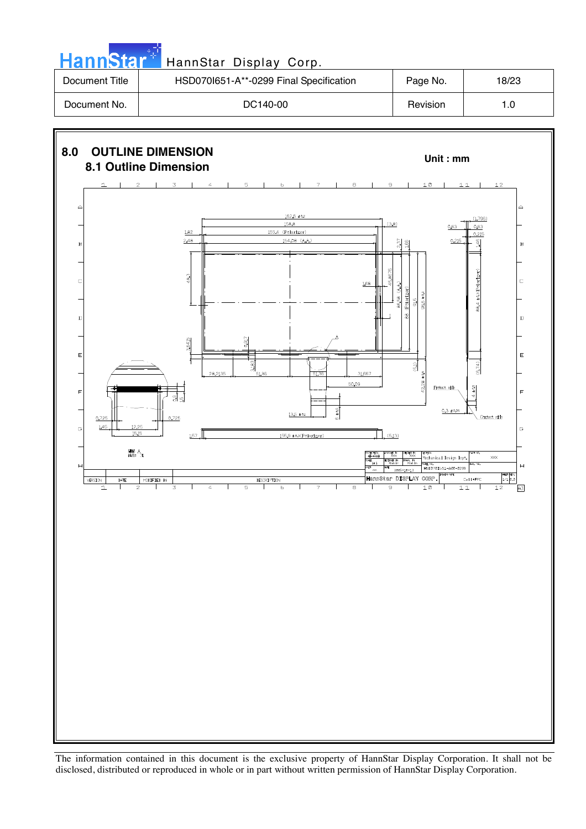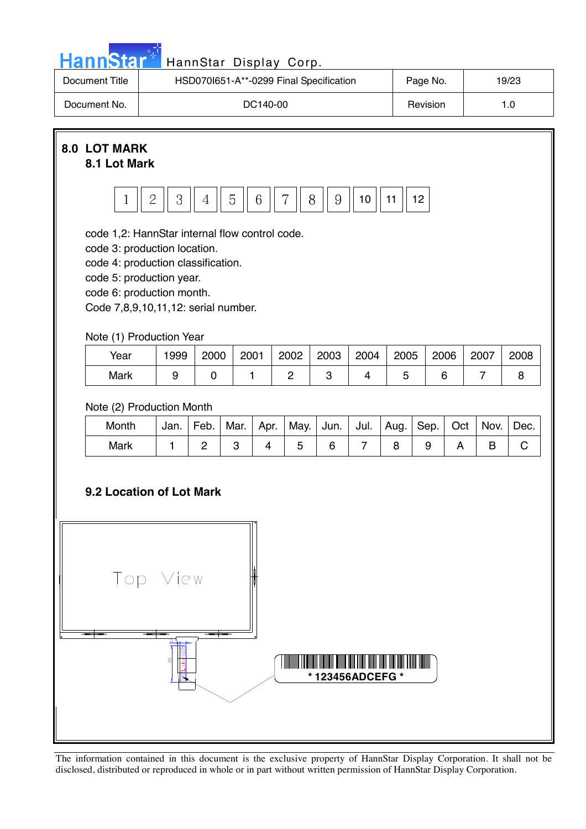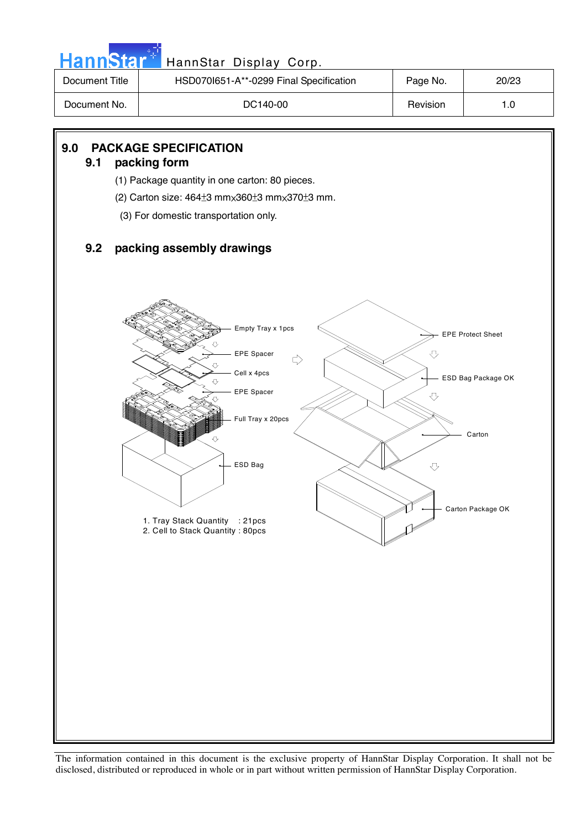| <b>Document Title</b> | HSD070l651-A**-0299 Final Specification                                   | Page No. | 20/23                    |
|-----------------------|---------------------------------------------------------------------------|----------|--------------------------|
| Document No.          | DC140-00                                                                  | Revision | 1.0                      |
|                       |                                                                           |          |                          |
| 9.0<br>9.1            | <b>PACKAGE SPECIFICATION</b><br>packing form                              |          |                          |
|                       | (1) Package quantity in one carton: 80 pieces.                            |          |                          |
|                       | (2) Carton size: $464\pm 3$ mm $\times 360\pm 3$ mm $\times 370\pm 3$ mm. |          |                          |
|                       | (3) For domestic transportation only.                                     |          |                          |
| 9.2                   | packing assembly drawings                                                 |          |                          |
|                       |                                                                           |          |                          |
|                       | Empty Tray x 1pcs<br>⇩<br>EPE Spacer<br>$\Rightarrow$                     | ⇩        | <b>EPE Protect Sheet</b> |
|                       | ⇩<br>Cell x 4pcs<br>⇩<br>EPE Spacer                                       | ⇩        | ESD Bag Package OK       |
|                       | Full Tray x 20pcs<br>⇩<br>ESD Bag                                         | ⇩        | Carton                   |
|                       | 1. Tray Stack Quantity : 21pcs                                            |          | Carton Package OK        |
|                       | 2. Cell to Stack Quantity: 80pcs                                          |          |                          |
|                       |                                                                           |          |                          |
|                       |                                                                           |          |                          |
|                       |                                                                           |          |                          |
|                       |                                                                           |          |                          |
|                       |                                                                           |          |                          |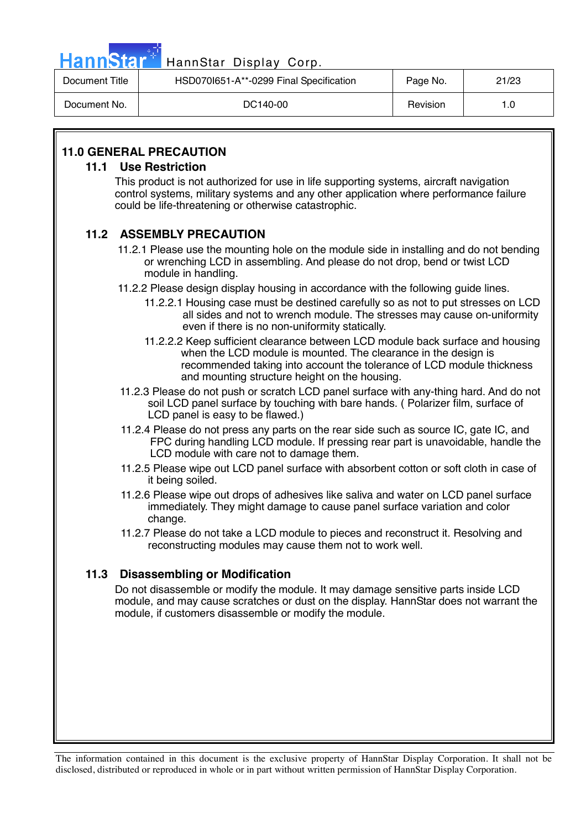| HannStar <sup>*</sup> | HannStar Display Corp.                  |          |       |
|-----------------------|-----------------------------------------|----------|-------|
| Document Title        | HSD070I651-A**-0299 Final Specification | Page No. | 21/23 |
| Document No.          | DC140-00                                | Revision | 1.0   |

### **11.0 GENERAL PRECAUTION**

### **11.1 Use Restriction**

This product is not authorized for use in life supporting systems, aircraft navigation control systems, military systems and any other application where performance failure could be life-threatening or otherwise catastrophic.

### **11.2 ASSEMBLY PRECAUTION**

- 11.2.1 Please use the mounting hole on the module side in installing and do not bending or wrenching LCD in assembling. And please do not drop, bend or twist LCD module in handling.
- 11.2.2 Please design display housing in accordance with the following guide lines.
	- 11.2.2.1 Housing case must be destined carefully so as not to put stresses on LCD all sides and not to wrench module. The stresses may cause on-uniformity even if there is no non-uniformity statically.
	- 11.2.2.2 Keep sufficient clearance between LCD module back surface and housing when the LCD module is mounted. The clearance in the design is recommended taking into account the tolerance of LCD module thickness and mounting structure height on the housing.
- 11.2.3 Please do not push or scratch LCD panel surface with any-thing hard. And do not soil LCD panel surface by touching with bare hands. ( Polarizer film, surface of LCD panel is easy to be flawed.)
- 11.2.4 Please do not press any parts on the rear side such as source IC, gate IC, and FPC during handling LCD module. If pressing rear part is unavoidable, handle the LCD module with care not to damage them.
- 11.2.5 Please wipe out LCD panel surface with absorbent cotton or soft cloth in case of it being soiled.
- 11.2.6 Please wipe out drops of adhesives like saliva and water on LCD panel surface immediately. They might damage to cause panel surface variation and color change.
- 11.2.7 Please do not take a LCD module to pieces and reconstruct it. Resolving and reconstructing modules may cause them not to work well.

### **11.3 Disassembling or Modification**

Do not disassemble or modify the module. It may damage sensitive parts inside LCD module, and may cause scratches or dust on the display. HannStar does not warrant the module, if customers disassemble or modify the module.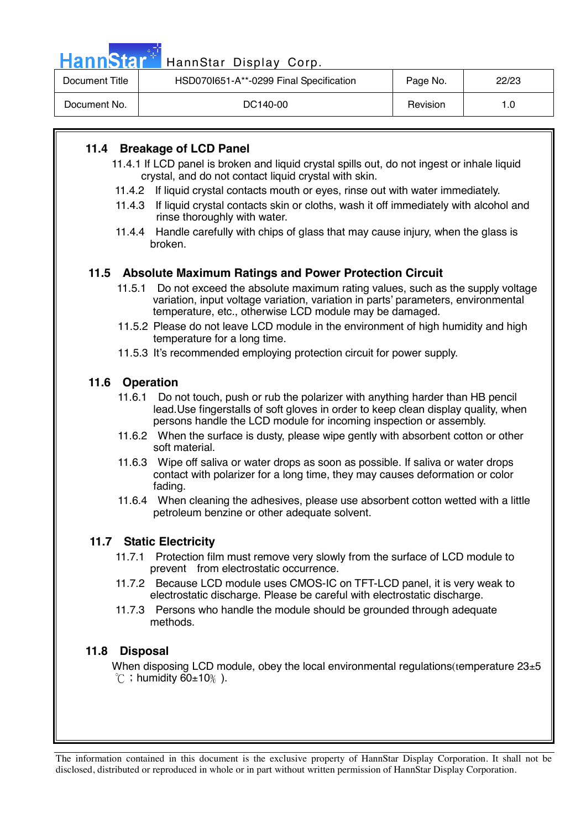| <b>HannStar</b> | HannStar Display Corp.                  |          |       |
|-----------------|-----------------------------------------|----------|-------|
| Document Title  | HSD070I651-A**-0299 Final Specification | Page No. | 22/23 |
| Document No.    | DC140-00                                | Revision | 1.0   |
|                 |                                         |          |       |

### **11.4 Breakage of LCD Panel**

- 11.4.1 If LCD panel is broken and liquid crystal spills out, do not ingest or inhale liquid crystal, and do not contact liquid crystal with skin.
- 11.4.2 If liquid crystal contacts mouth or eyes, rinse out with water immediately.
- 11.4.3 If liquid crystal contacts skin or cloths, wash it off immediately with alcohol and rinse thoroughly with water.
- 11.4.4 Handle carefully with chips of glass that may cause injury, when the glass is broken.

### **11.5 Absolute Maximum Ratings and Power Protection Circuit**

- 11.5.1 Do not exceed the absolute maximum rating values, such as the supply voltage variation, input voltage variation, variation in parts' parameters, environmental temperature, etc., otherwise LCD module may be damaged.
- 11.5.2 Please do not leave LCD module in the environment of high humidity and high temperature for a long time.
- 11.5.3 It's recommended employing protection circuit for power supply.

### **11.6 Operation**

- 11.6.1 Do not touch, push or rub the polarizer with anything harder than HB pencil lead.Use fingerstalls of soft gloves in order to keep clean display quality, when persons handle the LCD module for incoming inspection or assembly.
- 11.6.2 When the surface is dusty, please wipe gently with absorbent cotton or other soft material.
- 11.6.3 Wipe off saliva or water drops as soon as possible. If saliva or water drops contact with polarizer for a long time, they may causes deformation or color fading.
- 11.6.4 When cleaning the adhesives, please use absorbent cotton wetted with a little petroleum benzine or other adequate solvent.

### **11.7 Static Electricity**

- 11.7.1 Protection film must remove very slowly from the surface of LCD module to prevent from electrostatic occurrence.
- 11.7.2 Because LCD module uses CMOS-IC on TFT-LCD panel, it is very weak to electrostatic discharge. Please be careful with electrostatic discharge.
- 11.7.3 Persons who handle the module should be grounded through adequate methods.

### **11.8 Disposal**

When disposing LCD module, obey the local environmental regulations(temperature  $23\pm5$  $^{\circ}$ C ; humidity 60 $\pm$ 10%).